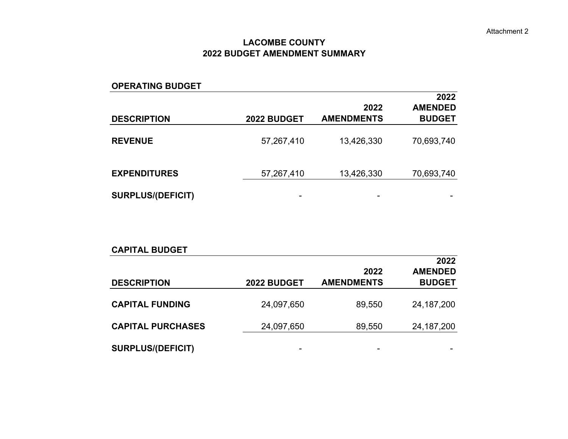#### **LACOMBE COUNTY 2022 BUDGET AMENDMENT SUMMARY**

| <b>OPERATING BUDGET</b>  |             |                           |                                         |
|--------------------------|-------------|---------------------------|-----------------------------------------|
| <b>DESCRIPTION</b>       | 2022 BUDGET | 2022<br><b>AMENDMENTS</b> | 2022<br><b>AMENDED</b><br><b>BUDGET</b> |
| <b>REVENUE</b>           | 57,267,410  | 13,426,330                | 70,693,740                              |
| <b>EXPENDITURES</b>      | 57,267,410  | 13,426,330                | 70,693,740                              |
| <b>SURPLUS/(DEFICIT)</b> | -           | -                         |                                         |

| <b>CAPITAL BUDGET</b>    |             |                           |                                 |
|--------------------------|-------------|---------------------------|---------------------------------|
|                          |             |                           | 2022                            |
| <b>DESCRIPTION</b>       | 2022 BUDGET | 2022<br><b>AMENDMENTS</b> | <b>AMENDED</b><br><b>BUDGET</b> |
| <b>CAPITAL FUNDING</b>   | 24,097,650  | 89,550                    | 24, 187, 200                    |
| <b>CAPITAL PURCHASES</b> | 24,097,650  | 89,550                    | 24, 187, 200                    |
| <b>SURPLUS/(DEFICIT)</b> | -           | ۰                         |                                 |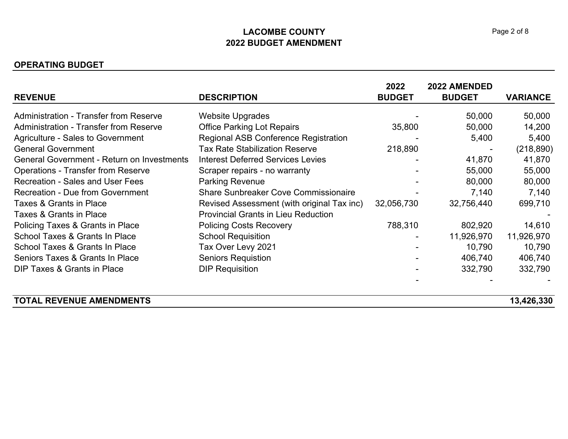### **LACOMBE COUNTY2022 BUDGET AMENDMENT**

#### **OPERATING BUDGET**

|                                                   |                                             | 2022          | 2022 AMENDED  |                 |
|---------------------------------------------------|---------------------------------------------|---------------|---------------|-----------------|
| <b>REVENUE</b>                                    | <b>DESCRIPTION</b>                          | <b>BUDGET</b> | <b>BUDGET</b> | <b>VARIANCE</b> |
| <b>Administration - Transfer from Reserve</b>     | <b>Website Upgrades</b>                     |               | 50,000        | 50,000          |
| <b>Administration - Transfer from Reserve</b>     | <b>Office Parking Lot Repairs</b>           | 35,800        | 50,000        | 14,200          |
| <b>Agriculture - Sales to Government</b>          | <b>Regional ASB Conference Registration</b> |               | 5,400         | 5,400           |
| <b>General Government</b>                         | <b>Tax Rate Stabilization Reserve</b>       | 218,890       |               | (218, 890)      |
| <b>General Government - Return on Investments</b> | <b>Interest Deferred Services Levies</b>    |               | 41,870        | 41,870          |
| <b>Operations - Transfer from Reserve</b>         | Scraper repairs - no warranty               |               | 55,000        | 55,000          |
| <b>Recreation - Sales and User Fees</b>           | <b>Parking Revenue</b>                      |               | 80,000        | 80,000          |
| <b>Recreation - Due from Government</b>           | <b>Share Sunbreaker Cove Commissionaire</b> |               | 7,140         | 7,140           |
| Taxes & Grants in Place                           | Revised Assessment (with original Tax inc)  | 32,056,730    | 32,756,440    | 699,710         |
| Taxes & Grants in Place                           | <b>Provincial Grants in Lieu Reduction</b>  |               |               |                 |
| Policing Taxes & Grants in Place                  | <b>Policing Costs Recovery</b>              | 788,310       | 802,920       | 14,610          |
| School Taxes & Grants In Place                    | <b>School Requisition</b>                   |               | 11,926,970    | 11,926,970      |
| School Taxes & Grants In Place                    | Tax Over Levy 2021                          |               | 10,790        | 10,790          |
| Seniors Taxes & Grants In Place                   | <b>Seniors Requistion</b>                   |               | 406,740       | 406,740         |
| <b>DIP Taxes &amp; Grants in Place</b>            | <b>DIP Requisition</b>                      |               | 332,790       | 332,790         |
|                                                   |                                             |               |               |                 |
| <b>TOTAL REVENUE AMENDMENTS</b>                   |                                             |               |               | 13,426,330      |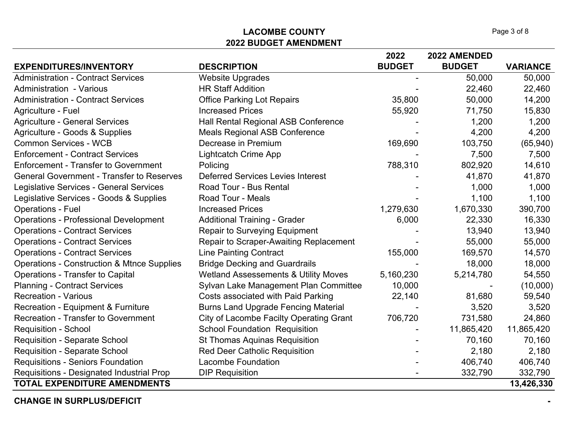### **LACOMBE COUNTY2022 BUDGET AMENDMENT**

|                                                       |                                                 | 2022          | 2022 AMENDED  |                 |
|-------------------------------------------------------|-------------------------------------------------|---------------|---------------|-----------------|
| <b>EXPENDITURES/INVENTORY</b>                         | <b>DESCRIPTION</b>                              | <b>BUDGET</b> | <b>BUDGET</b> | <b>VARIANCE</b> |
| <b>Administration - Contract Services</b>             | <b>Website Upgrades</b>                         |               | 50,000        | 50,000          |
| <b>Administration - Various</b>                       | <b>HR Staff Addition</b>                        |               | 22,460        | 22,460          |
| <b>Administration - Contract Services</b>             | <b>Office Parking Lot Repairs</b>               | 35,800        | 50,000        | 14,200          |
| Agriculture - Fuel                                    | <b>Increased Prices</b>                         | 55,920        | 71,750        | 15,830          |
| <b>Agriculture - General Services</b>                 | Hall Rental Regional ASB Conference             |               | 1,200         | 1,200           |
| Agriculture - Goods & Supplies                        | <b>Meals Regional ASB Conference</b>            |               | 4,200         | 4,200           |
| <b>Common Services - WCB</b>                          | Decrease in Premium                             | 169,690       | 103,750       | (65, 940)       |
| <b>Enforcement - Contract Services</b>                | <b>Lightcatch Crime App</b>                     |               | 7,500         | 7,500           |
| <b>Enforcement - Transfer to Government</b>           | Policing                                        | 788,310       | 802,920       | 14,610          |
| <b>General Government - Transfer to Reserves</b>      | <b>Deferred Services Levies Interest</b>        |               | 41,870        | 41,870          |
| Legislative Services - General Services               | Road Tour - Bus Rental                          |               | 1,000         | 1,000           |
| Legislative Services - Goods & Supplies               | <b>Road Tour - Meals</b>                        |               | 1,100         | 1,100           |
| <b>Operations - Fuel</b>                              | <b>Increased Prices</b>                         | 1,279,630     | 1,670,330     | 390,700         |
| <b>Operations - Professional Development</b>          | <b>Additional Training - Grader</b>             | 6,000         | 22,330        | 16,330          |
| <b>Operations - Contract Services</b>                 | <b>Repair to Surveying Equipment</b>            |               | 13,940        | 13,940          |
| <b>Operations - Contract Services</b>                 | Repair to Scraper-Awaiting Replacement          |               | 55,000        | 55,000          |
| <b>Operations - Contract Services</b>                 | <b>Line Painting Contract</b>                   | 155,000       | 169,570       | 14,570          |
| <b>Operations - Construction &amp; Mtnce Supplies</b> | <b>Bridge Decking and Guardrails</b>            |               | 18,000        | 18,000          |
| <b>Operations - Transfer to Capital</b>               | <b>Wetland Assessements &amp; Utility Moves</b> | 5,160,230     | 5,214,780     | 54,550          |
| <b>Planning - Contract Services</b>                   | Sylvan Lake Management Plan Committee           | 10,000        |               | (10,000)        |
| <b>Recreation - Various</b>                           | Costs associated with Paid Parking              | 22,140        | 81,680        | 59,540          |
| Recreation - Equipment & Furniture                    | <b>Burns Land Upgrade Fencing Material</b>      |               | 3,520         | 3,520           |
| <b>Recreation - Transfer to Government</b>            | City of Lacombe Facilty Operating Grant         | 706,720       | 731,580       | 24,860          |
| <b>Requisition - School</b>                           | <b>School Foundation Requisition</b>            |               | 11,865,420    | 11,865,420      |
| <b>Requisition - Separate School</b>                  | <b>St Thomas Aquinas Requisition</b>            |               | 70,160        | 70,160          |
| <b>Requisition - Separate School</b>                  | <b>Red Deer Catholic Requisition</b>            |               | 2,180         | 2,180           |
| <b>Requisitions - Seniors Foundation</b>              | <b>Lacombe Foundation</b>                       |               | 406,740       | 406,740         |
| Requisitions - Designated Industrial Prop             | <b>DIP Requisition</b>                          |               | 332,790       | 332,790         |
| <b>TOTAL EXPENDITURE AMENDMENTS</b>                   |                                                 |               |               | 13,426,330      |

**CHANGE IN SURPLUS/DEFICIT-**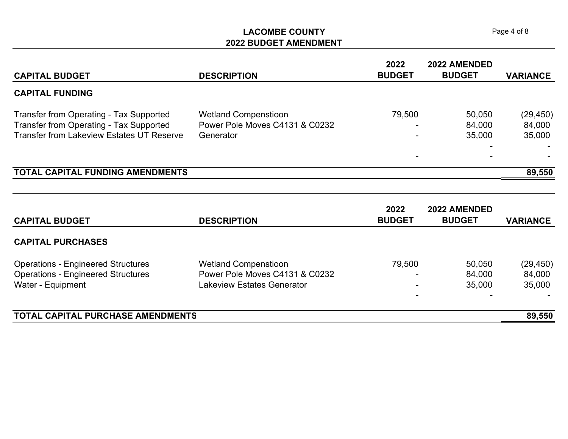### **LACOMBE COUNTY2022 BUDGET AMENDMENT**

|                                                  |                                | 2022          | 2022 AMENDED  |                 |
|--------------------------------------------------|--------------------------------|---------------|---------------|-----------------|
| <b>CAPITAL BUDGET</b>                            | <b>DESCRIPTION</b>             | <b>BUDGET</b> | <b>BUDGET</b> | <b>VARIANCE</b> |
| <b>CAPITAL FUNDING</b>                           |                                |               |               |                 |
| <b>Transfer from Operating - Tax Supported</b>   | <b>Wetland Compenstioon</b>    | 79,500        | 50,050        | (29, 450)       |
| Transfer from Operating - Tax Supported          | Power Pole Moves C4131 & C0232 |               | 84,000        | 84,000          |
| <b>Transfer from Lakeview Estates UT Reserve</b> | Generator                      |               | 35,000        | 35,000          |
|                                                  |                                |               |               |                 |
|                                                  |                                |               |               |                 |
| <b>TOTAL CAPITAL FUNDING AMENDMENTS</b>          |                                |               |               | 89,550          |
|                                                  |                                |               |               |                 |
|                                                  |                                |               |               |                 |
|                                                  |                                |               |               |                 |

| <b>CAPITAL BUDGET</b>                     | <b>DESCRIPTION</b>             | 2022<br><b>BUDGET</b> | <b>2022 AMENDED</b><br><b>BUDGET</b> | <b>VARIANCE</b> |
|-------------------------------------------|--------------------------------|-----------------------|--------------------------------------|-----------------|
| <b>CAPITAL PURCHASES</b>                  |                                |                       |                                      |                 |
| <b>Operations - Engineered Structures</b> | <b>Wetland Compenstioon</b>    | 79,500                | 50,050                               | (29, 450)       |
| <b>Operations - Engineered Structures</b> | Power Pole Moves C4131 & C0232 |                       | 84,000                               | 84,000          |
| Water - Equipment                         | Lakeview Estates Generator     |                       | 35,000                               | 35,000          |
|                                           |                                |                       |                                      |                 |
| TOTAL CAPITAL PURCHASE AMENDMENTS         |                                |                       |                                      | 89,550          |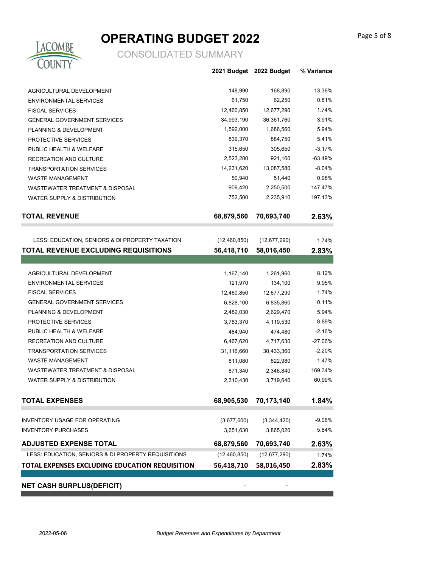# **OPERATING BUDGET 2022**



|                                                     |                | 2021 Budget 2022 Budget | % Variance |
|-----------------------------------------------------|----------------|-------------------------|------------|
| AGRICULTURAL DEVELOPMENT                            | 148,990        | 168,890                 | 13.36%     |
| <b>ENVIRONMENTAL SERVICES</b>                       | 61,750         | 62,250                  | 0.81%      |
| <b>FISCAL SERVICES</b>                              | 12,460,850     | 12,677,290              | 1.74%      |
| <b>GENERAL GOVERNMENT SERVICES</b>                  | 34,993,190     | 36,361,760              | 3.91%      |
| PLANNING & DEVELOPMENT                              | 1,592,000      | 1,686,560               | 5.94%      |
| PROTECTIVE SERVICES                                 | 839,370        | 884,750                 | 5.41%      |
| PUBLIC HEALTH & WELFARE                             | 315,650        | 305,650                 | $-3.17%$   |
| RECREATION AND CULTURE                              | 2,523,280      | 921,160                 | $-63.49%$  |
| <b>TRANSPORTATION SERVICES</b>                      | 14,231,620     | 13,087,580              | $-8.04%$   |
| <b>WASTE MANAGEMENT</b>                             | 50,940         | 51,440                  | 0.98%      |
| <b>WASTEWATER TREATMENT &amp; DISPOSAL</b>          | 909,420        | 2,250,500               | 147.47%    |
| WATER SUPPLY & DISTRIBUTION                         | 752,500        | 2,235,910               | 197.13%    |
| <b>TOTAL REVENUE</b>                                | 68,879,560     | 70,693,740              | 2.63%      |
|                                                     |                |                         |            |
| LESS: EDUCATION, SENIORS & DI PROPERTY TAXATION     | (12, 460, 850) | (12,677,290)            | 1.74%      |
| TOTAL REVENUE EXCLUDING REQUISITIONS                | 56,418,710     | 58,016,450              | 2.83%      |
|                                                     |                |                         |            |
| AGRICULTURAL DEVELOPMENT                            | 1,167,140      | 1,261,960               | 8.12%      |
| <b>ENVIRONMENTAL SERVICES</b>                       | 121,970        | 134,100                 | 9.95%      |
| <b>FISCAL SERVICES</b>                              | 12,460,850     | 12,677,290              | 1.74%      |
| <b>GENERAL GOVERNMENT SERVICES</b>                  | 6,828,100      | 6,835,860               | 0.11%      |
| PLANNING & DEVELOPMENT                              | 2,482,030      | 2,629,470               | 5.94%      |
| PROTECTIVE SERVICES                                 | 3,783,370      | 4,119,530               | 8.89%      |
| PUBLIC HEALTH & WELFARE                             | 484,940        | 474,480                 | $-2.16%$   |
| RECREATION AND CULTURE                              | 6,467,620      | 4,717,630               | $-27.06%$  |
| <b>TRANSPORTATION SERVICES</b>                      | 31,116,660     | 30,433,360              | $-2.20%$   |
| <b>WASTE MANAGEMENT</b>                             | 811,080        | 822,980                 | 1.47%      |
| <b>WASTEWATER TREATMENT &amp; DISPOSAL</b>          | 871,340        | 2,346,840               | 169.34%    |
| <b>WATER SUPPLY &amp; DISTRIBUTION</b>              | 2,310,430      | 3,719,640               | 60.99%     |
| <b>TOTAL EXPENSES</b>                               | 68,905,530     | 70,173,140              | 1.84%      |
|                                                     |                |                         |            |
| <b>INVENTORY USAGE FOR OPERATING</b>                | (3,677,600)    | (3,344,420)             | $-9.06%$   |
| <b>INVENTORY PURCHASES</b>                          | 3,651,630      | 3,865,020               | 5.84%      |
| <b>ADJUSTED EXPENSE TOTAL</b>                       | 68,879,560     | 70,693,740              | 2.63%      |
| LESS: EDUCATION, SENIORS & DI PROPERTY REQUISITIONS | (12, 460, 850) | (12, 677, 290)          | 1.74%      |
| TOTAL EXPENSES EXCLUDING EDUCATION REQUISITION      | 56,418,710     | 58,016,450              | 2.83%      |
|                                                     |                |                         |            |
| CUDDLUC/DEEICIT                                     |                |                         |            |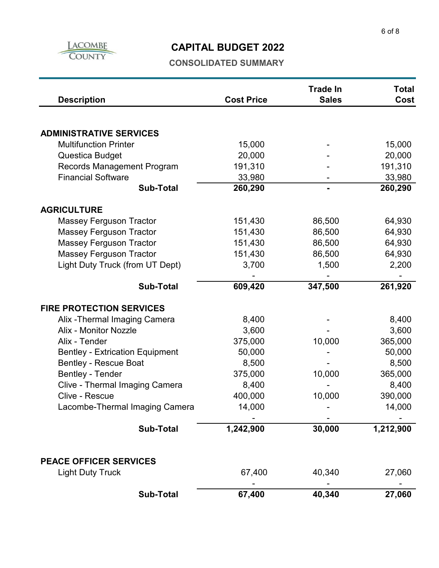

## **CAPITAL BUDGET 2022**

| <b>Description</b>                                                     | <b>Cost Price</b> | <b>Trade In</b><br><b>Sales</b> | <b>Total</b><br>Cost |
|------------------------------------------------------------------------|-------------------|---------------------------------|----------------------|
|                                                                        |                   |                                 |                      |
| <b>ADMINISTRATIVE SERVICES</b>                                         |                   |                                 |                      |
| <b>Multifunction Printer</b>                                           | 15,000            |                                 | 15,000               |
| Questica Budget                                                        | 20,000            |                                 | 20,000               |
| Records Management Program                                             | 191,310           |                                 | 191,310              |
| <b>Financial Software</b>                                              | 33,980            |                                 | 33,980               |
| <b>Sub-Total</b>                                                       | 260,290           |                                 | 260,290              |
| <b>AGRICULTURE</b>                                                     |                   |                                 |                      |
| <b>Massey Ferguson Tractor</b>                                         | 151,430           | 86,500                          | 64,930               |
| <b>Massey Ferguson Tractor</b>                                         | 151,430           | 86,500                          | 64,930               |
| <b>Massey Ferguson Tractor</b>                                         | 151,430           | 86,500                          | 64,930               |
| <b>Massey Ferguson Tractor</b>                                         | 151,430           | 86,500                          | 64,930               |
| Light Duty Truck (from UT Dept)                                        | 3,700             | 1,500                           | 2,200                |
| <b>Sub-Total</b>                                                       | 609,420           | 347,500                         | 261,920              |
|                                                                        |                   |                                 |                      |
| <b>FIRE PROTECTION SERVICES</b>                                        |                   |                                 |                      |
| Alix - Thermal Imaging Camera<br><b>Alix - Monitor Nozzle</b>          | 8,400             |                                 | 8,400                |
| Alix - Tender                                                          | 3,600             |                                 | 3,600                |
|                                                                        | 375,000           | 10,000                          | 365,000              |
| <b>Bentley - Extrication Equipment</b><br><b>Bentley - Rescue Boat</b> | 50,000<br>8,500   |                                 | 50,000               |
|                                                                        | 375,000           |                                 | 8,500<br>365,000     |
| <b>Bentley - Tender</b>                                                | 8,400             | 10,000                          | 8,400                |
| Clive - Thermal Imaging Camera<br>Clive - Rescue                       | 400,000           | 10,000                          | 390,000              |
| Lacombe-Thermal Imaging Camera                                         | 14,000            |                                 | 14,000               |
|                                                                        |                   |                                 |                      |
| <b>Sub-Total</b>                                                       | 1,242,900         | 30,000                          | 1,212,900            |
| <b>PEACE OFFICER SERVICES</b>                                          |                   |                                 |                      |
| <b>Light Duty Truck</b>                                                | 67,400            | 40,340                          | 27,060               |
| <b>Sub-Total</b>                                                       | 67,400            | 40,340                          | 27,060               |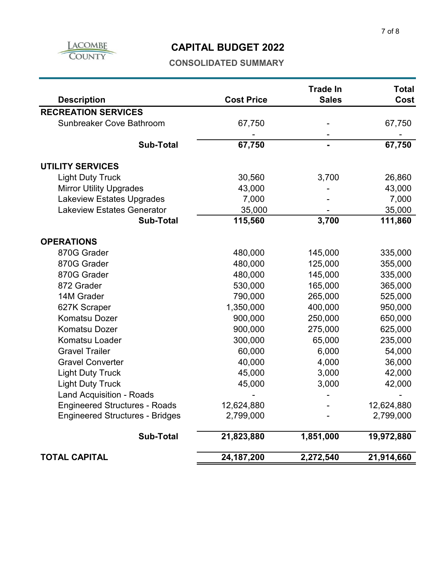

### **CAPITAL BUDGET 2022**

| <b>Description</b>                     | <b>Cost Price</b> | <b>Trade In</b><br><b>Sales</b> | <b>Total</b><br>Cost |
|----------------------------------------|-------------------|---------------------------------|----------------------|
| <b>RECREATION SERVICES</b>             |                   |                                 |                      |
| Sunbreaker Cove Bathroom               | 67,750            |                                 | 67,750               |
|                                        |                   |                                 |                      |
| <b>Sub-Total</b>                       | 67,750            |                                 | 67,750               |
| <b>UTILITY SERVICES</b>                |                   |                                 |                      |
| <b>Light Duty Truck</b>                | 30,560            | 3,700                           | 26,860               |
| <b>Mirror Utility Upgrades</b>         | 43,000            |                                 | 43,000               |
| <b>Lakeview Estates Upgrades</b>       | 7,000             |                                 | 7,000                |
| <b>Lakeview Estates Generator</b>      | 35,000            |                                 | 35,000               |
| <b>Sub-Total</b>                       | 115,560           | 3,700                           | 111,860              |
| <b>OPERATIONS</b>                      |                   |                                 |                      |
| 870G Grader                            | 480,000           | 145,000                         | 335,000              |
| 870G Grader                            | 480,000           | 125,000                         | 355,000              |
| 870G Grader                            | 480,000           | 145,000                         | 335,000              |
| 872 Grader                             | 530,000           | 165,000                         | 365,000              |
| 14M Grader                             | 790,000           | 265,000                         | 525,000              |
| 627K Scraper                           | 1,350,000         | 400,000                         | 950,000              |
| <b>Komatsu Dozer</b>                   | 900,000           | 250,000                         | 650,000              |
| <b>Komatsu Dozer</b>                   | 900,000           | 275,000                         | 625,000              |
| Komatsu Loader                         | 300,000           | 65,000                          | 235,000              |
| <b>Gravel Trailer</b>                  | 60,000            | 6,000                           | 54,000               |
| <b>Gravel Converter</b>                | 40,000            | 4,000                           | 36,000               |
| <b>Light Duty Truck</b>                | 45,000            | 3,000                           | 42,000               |
| <b>Light Duty Truck</b>                | 45,000            | 3,000                           | 42,000               |
| <b>Land Acquisition - Roads</b>        |                   |                                 |                      |
| <b>Engineered Structures - Roads</b>   | 12,624,880        |                                 | 12,624,880           |
| <b>Engineered Structures - Bridges</b> | 2,799,000         |                                 | 2,799,000            |
| <b>Sub-Total</b>                       | 21,823,880        | 1,851,000                       | 19,972,880           |
| <b>TOTAL CAPITAL</b>                   | 24, 187, 200      | 2,272,540                       | 21,914,660           |